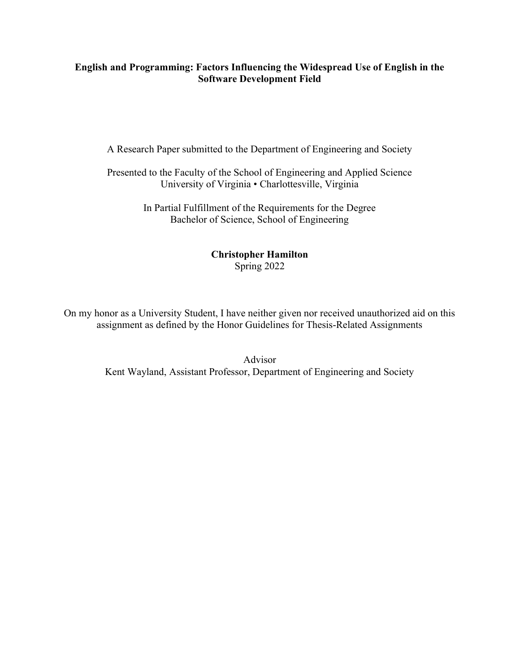## English and Programming: Factors Influencing the Widespread Use of English in the Software Development Field

A Research Paper submitted to the Department of Engineering and Society

Presented to the Faculty of the School of Engineering and Applied Science University of Virginia • Charlottesville, Virginia

> In Partial Fulfillment of the Requirements for the Degree Bachelor of Science, School of Engineering

## Christopher Hamilton Spring 2022

On my honor as a University Student, I have neither given nor received unauthorized aid on this assignment as defined by the Honor Guidelines for Thesis-Related Assignments

> Advisor Kent Wayland, Assistant Professor, Department of Engineering and Society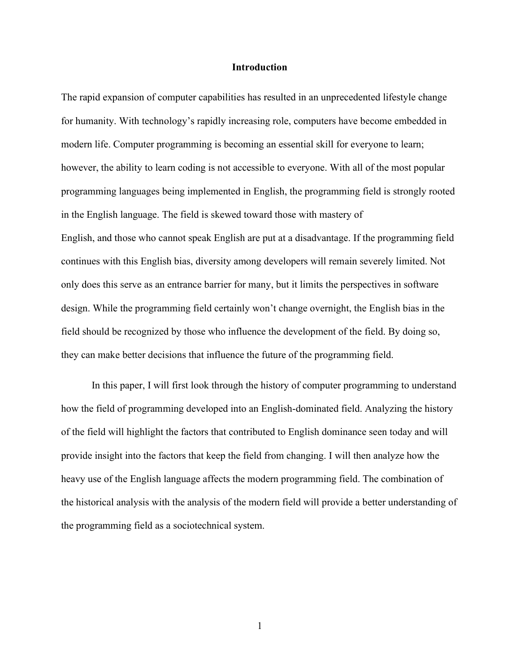#### Introduction

The rapid expansion of computer capabilities has resulted in an unprecedented lifestyle change for humanity. With technology's rapidly increasing role, computers have become embedded in modern life. Computer programming is becoming an essential skill for everyone to learn; however, the ability to learn coding is not accessible to everyone. With all of the most popular programming languages being implemented in English, the programming field is strongly rooted in the English language. The field is skewed toward those with mastery of English, and those who cannot speak English are put at a disadvantage. If the programming field continues with this English bias, diversity among developers will remain severely limited. Not only does this serve as an entrance barrier for many, but it limits the perspectives in software design. While the programming field certainly won't change overnight, the English bias in the field should be recognized by those who influence the development of the field. By doing so, they can make better decisions that influence the future of the programming field.

In this paper, I will first look through the history of computer programming to understand how the field of programming developed into an English-dominated field. Analyzing the history of the field will highlight the factors that contributed to English dominance seen today and will provide insight into the factors that keep the field from changing. I will then analyze how the heavy use of the English language affects the modern programming field. The combination of the historical analysis with the analysis of the modern field will provide a better understanding of the programming field as a sociotechnical system.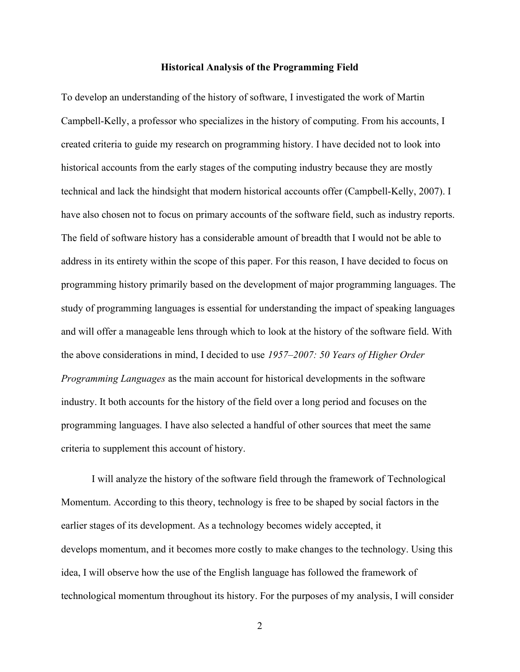#### Historical Analysis of the Programming Field

To develop an understanding of the history of software, I investigated the work of Martin Campbell-Kelly, a professor who specializes in the history of computing. From his accounts, I created criteria to guide my research on programming history. I have decided not to look into historical accounts from the early stages of the computing industry because they are mostly technical and lack the hindsight that modern historical accounts offer (Campbell-Kelly, 2007). I have also chosen not to focus on primary accounts of the software field, such as industry reports. The field of software history has a considerable amount of breadth that I would not be able to address in its entirety within the scope of this paper. For this reason, I have decided to focus on programming history primarily based on the development of major programming languages. The study of programming languages is essential for understanding the impact of speaking languages and will offer a manageable lens through which to look at the history of the software field. With the above considerations in mind, I decided to use 1957–2007: 50 Years of Higher Order Programming Languages as the main account for historical developments in the software industry. It both accounts for the history of the field over a long period and focuses on the programming languages. I have also selected a handful of other sources that meet the same criteria to supplement this account of history.

I will analyze the history of the software field through the framework of Technological Momentum. According to this theory, technology is free to be shaped by social factors in the earlier stages of its development. As a technology becomes widely accepted, it develops momentum, and it becomes more costly to make changes to the technology. Using this idea, I will observe how the use of the English language has followed the framework of technological momentum throughout its history. For the purposes of my analysis, I will consider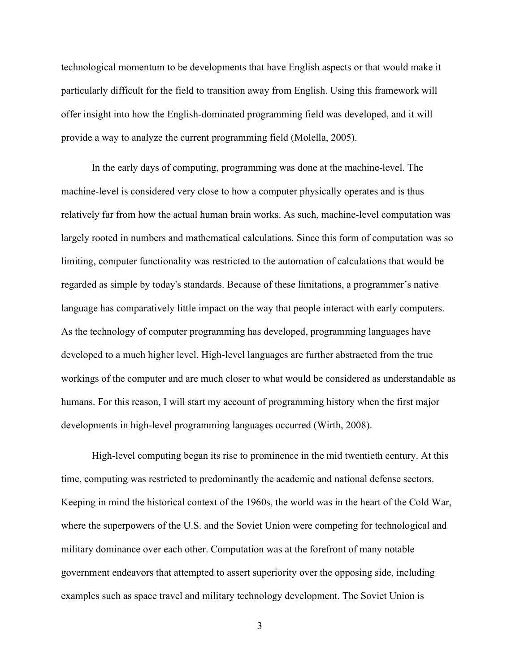technological momentum to be developments that have English aspects or that would make it particularly difficult for the field to transition away from English. Using this framework will offer insight into how the English-dominated programming field was developed, and it will provide a way to analyze the current programming field (Molella, 2005).

In the early days of computing, programming was done at the machine-level. The machine-level is considered very close to how a computer physically operates and is thus relatively far from how the actual human brain works. As such, machine-level computation was largely rooted in numbers and mathematical calculations. Since this form of computation was so limiting, computer functionality was restricted to the automation of calculations that would be regarded as simple by today's standards. Because of these limitations, a programmer's native language has comparatively little impact on the way that people interact with early computers. As the technology of computer programming has developed, programming languages have developed to a much higher level. High-level languages are further abstracted from the true workings of the computer and are much closer to what would be considered as understandable as humans. For this reason, I will start my account of programming history when the first major developments in high-level programming languages occurred (Wirth, 2008).

High-level computing began its rise to prominence in the mid twentieth century. At this time, computing was restricted to predominantly the academic and national defense sectors. Keeping in mind the historical context of the 1960s, the world was in the heart of the Cold War, where the superpowers of the U.S. and the Soviet Union were competing for technological and military dominance over each other. Computation was at the forefront of many notable government endeavors that attempted to assert superiority over the opposing side, including examples such as space travel and military technology development. The Soviet Union is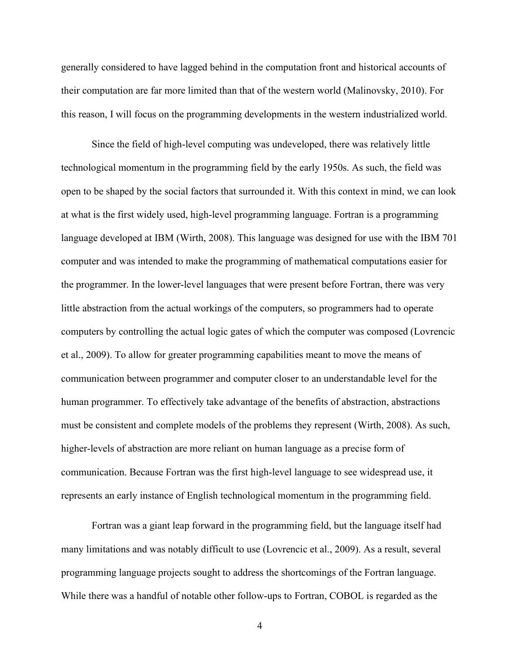generally considered to have lagged behind in the computation front and historical accounts of their computation are far more limited than that of the western world (Malinovsky, 2010). For this reason, I will focus on the programming developments in the western industrialized world.

Since the field of high-level computing was undeveloped, there was relatively little technological momentum in the programming field by the early 1950s. As such, the field was open to be shaped by the social factors that surrounded it. With this context in mind, we can look at what is the first widely used, high-level programming language. Fortran is a programming language developed at IBM (Wirth, 2008). This language was designed for use with the IBM 701 computer and was intended to make the programming of mathematical computations easier for the programmer. In the lower-level languages that were present before Fortran, there was very little abstraction from the actual workings of the computers, so programmers had to operate computers by controlling the actual logic gates of which the computer was composed (Lovrencic et al., 2009). To allow for greater programming capabilities meant to move the means of communication between programmer and computer closer to an understandable level for the human programmer. To effectively take advantage of the benefits of abstraction, abstractions must be consistent and complete models of the problems they represent (Wirth, 2008). As such, higher-levels of abstraction are more reliant on human language as a precise form of communication. Because Fortran was the first high-level language to see widespread use, it represents an early instance of English technological momentum in the programming field.

Fortran was a giant leap forward in the programming field, but the language itself had many limitations and was notably difficult to use (Lovrencic et al., 2009). As a result, several programming language projects sought to address the shortcomings of the Fortran language. While there was a handful of notable other follow-ups to Fortran, COBOL is regarded as the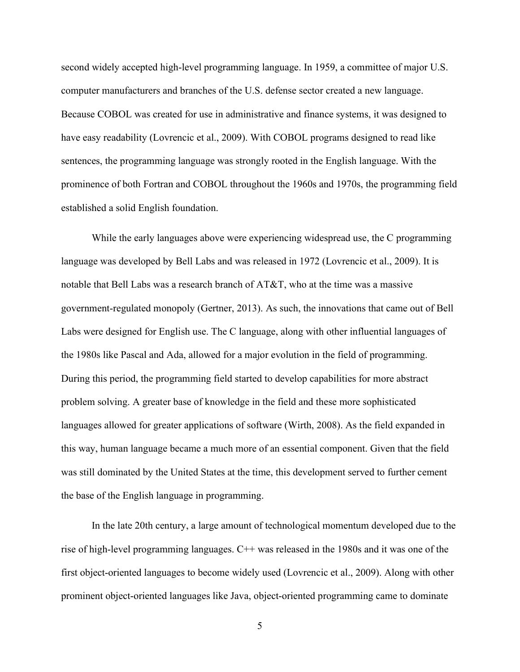second widely accepted high-level programming language. In 1959, a committee of major U.S. computer manufacturers and branches of the U.S. defense sector created a new language. Because COBOL was created for use in administrative and finance systems, it was designed to have easy readability (Lovrencic et al., 2009). With COBOL programs designed to read like sentences, the programming language was strongly rooted in the English language. With the prominence of both Fortran and COBOL throughout the 1960s and 1970s, the programming field established a solid English foundation.

While the early languages above were experiencing widespread use, the C programming language was developed by Bell Labs and was released in 1972 (Lovrencic et al., 2009). It is notable that Bell Labs was a research branch of AT&T, who at the time was a massive government-regulated monopoly (Gertner, 2013). As such, the innovations that came out of Bell Labs were designed for English use. The C language, along with other influential languages of the 1980s like Pascal and Ada, allowed for a major evolution in the field of programming. During this period, the programming field started to develop capabilities for more abstract problem solving. A greater base of knowledge in the field and these more sophisticated languages allowed for greater applications of software (Wirth, 2008). As the field expanded in this way, human language became a much more of an essential component. Given that the field was still dominated by the United States at the time, this development served to further cement the base of the English language in programming.

In the late 20th century, a large amount of technological momentum developed due to the rise of high-level programming languages. C++ was released in the 1980s and it was one of the first object-oriented languages to become widely used (Lovrencic et al., 2009). Along with other prominent object-oriented languages like Java, object-oriented programming came to dominate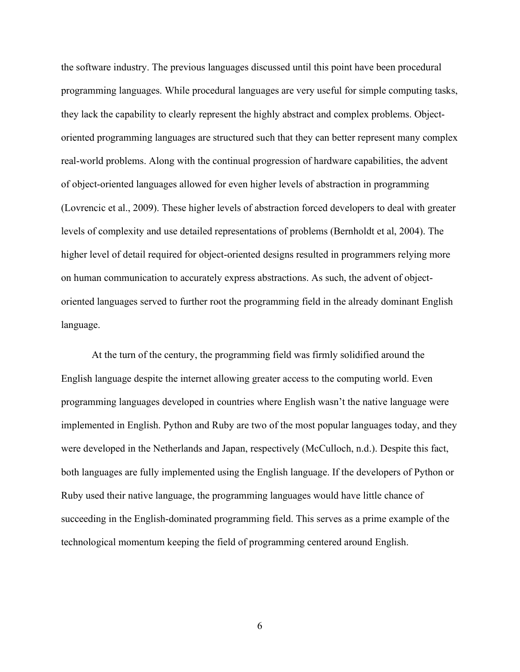the software industry. The previous languages discussed until this point have been procedural programming languages. While procedural languages are very useful for simple computing tasks, they lack the capability to clearly represent the highly abstract and complex problems. Objectoriented programming languages are structured such that they can better represent many complex real-world problems. Along with the continual progression of hardware capabilities, the advent of object-oriented languages allowed for even higher levels of abstraction in programming (Lovrencic et al., 2009). These higher levels of abstraction forced developers to deal with greater levels of complexity and use detailed representations of problems (Bernholdt et al, 2004). The higher level of detail required for object-oriented designs resulted in programmers relying more on human communication to accurately express abstractions. As such, the advent of objectoriented languages served to further root the programming field in the already dominant English language.

At the turn of the century, the programming field was firmly solidified around the English language despite the internet allowing greater access to the computing world. Even programming languages developed in countries where English wasn't the native language were implemented in English. Python and Ruby are two of the most popular languages today, and they were developed in the Netherlands and Japan, respectively (McCulloch, n.d.). Despite this fact, both languages are fully implemented using the English language. If the developers of Python or Ruby used their native language, the programming languages would have little chance of succeeding in the English-dominated programming field. This serves as a prime example of the technological momentum keeping the field of programming centered around English.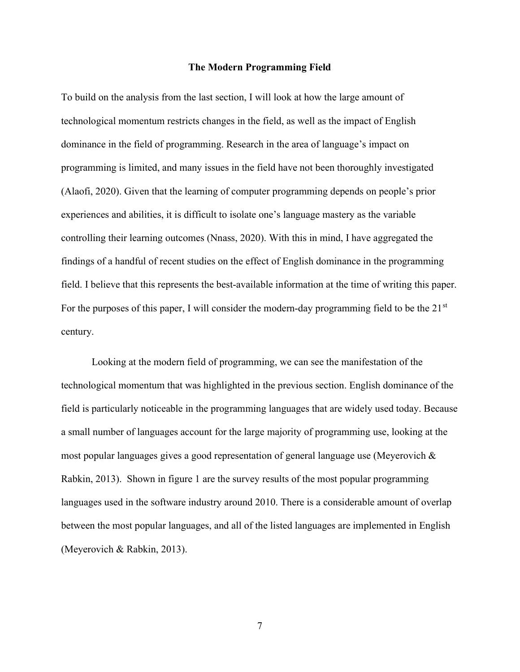#### The Modern Programming Field

To build on the analysis from the last section, I will look at how the large amount of technological momentum restricts changes in the field, as well as the impact of English dominance in the field of programming. Research in the area of language's impact on programming is limited, and many issues in the field have not been thoroughly investigated (Alaofi, 2020). Given that the learning of computer programming depends on people's prior experiences and abilities, it is difficult to isolate one's language mastery as the variable controlling their learning outcomes (Nnass, 2020). With this in mind, I have aggregated the findings of a handful of recent studies on the effect of English dominance in the programming field. I believe that this represents the best-available information at the time of writing this paper. For the purposes of this paper, I will consider the modern-day programming field to be the  $21<sup>st</sup>$ century.

Looking at the modern field of programming, we can see the manifestation of the technological momentum that was highlighted in the previous section. English dominance of the field is particularly noticeable in the programming languages that are widely used today. Because a small number of languages account for the large majority of programming use, looking at the most popular languages gives a good representation of general language use (Meyerovich & Rabkin, 2013). Shown in figure 1 are the survey results of the most popular programming languages used in the software industry around 2010. There is a considerable amount of overlap between the most popular languages, and all of the listed languages are implemented in English (Meyerovich & Rabkin, 2013).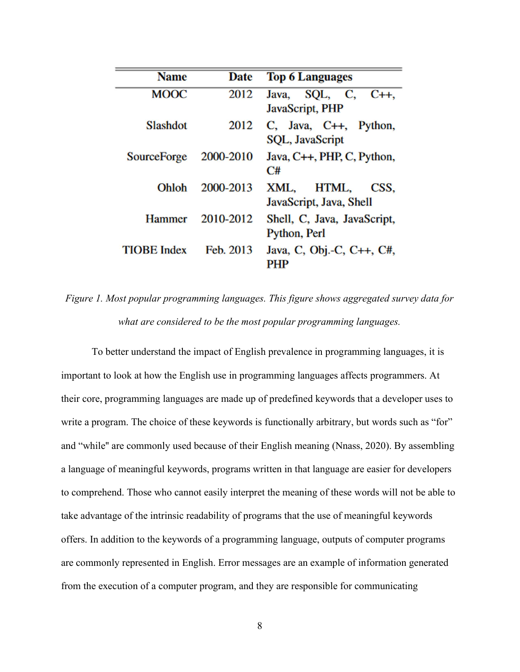| <b>Name</b>        | <b>Date</b> | <b>Top 6 Languages</b>                                |  |  |
|--------------------|-------------|-------------------------------------------------------|--|--|
| <b>MOOC</b>        | 2012        | SQL, C,<br>$C_{++}$<br>Java,<br>JavaScript, PHP       |  |  |
| <b>Slashdot</b>    | 2012        | $C$ , Java, $C++$ , Python,<br><b>SQL, JavaScript</b> |  |  |
| <b>SourceForge</b> | 2000-2010   | Java, C++, PHP, C, Python,<br>C#                      |  |  |
| Ohloh              | 2000-2013   | HTML,<br>XML,<br>CSS.<br>JavaScript, Java, Shell      |  |  |
| <b>Hammer</b>      | 2010-2012   | Shell, C, Java, JavaScript,<br>Python, Perl           |  |  |
| <b>TIOBE</b> Index | Feb. 2013   | Java, C, Obj.-C, C++, C#,<br>PHP                      |  |  |

Figure 1. Most popular programming languages. This figure shows aggregated survey data for what are considered to be the most popular programming languages.

To better understand the impact of English prevalence in programming languages, it is important to look at how the English use in programming languages affects programmers. At their core, programming languages are made up of predefined keywords that a developer uses to write a program. The choice of these keywords is functionally arbitrary, but words such as "for" and "while'' are commonly used because of their English meaning (Nnass, 2020). By assembling a language of meaningful keywords, programs written in that language are easier for developers to comprehend. Those who cannot easily interpret the meaning of these words will not be able to take advantage of the intrinsic readability of programs that the use of meaningful keywords offers. In addition to the keywords of a programming language, outputs of computer programs are commonly represented in English. Error messages are an example of information generated from the execution of a computer program, and they are responsible for communicating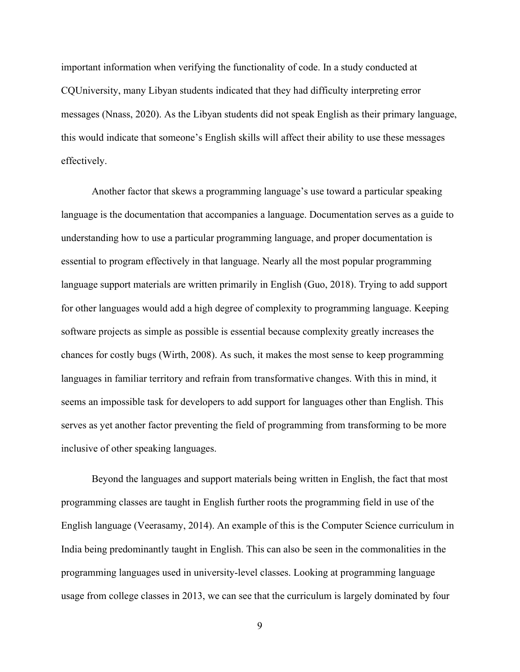important information when verifying the functionality of code. In a study conducted at CQUniversity, many Libyan students indicated that they had difficulty interpreting error messages (Nnass, 2020). As the Libyan students did not speak English as their primary language, this would indicate that someone's English skills will affect their ability to use these messages effectively.

Another factor that skews a programming language's use toward a particular speaking language is the documentation that accompanies a language. Documentation serves as a guide to understanding how to use a particular programming language, and proper documentation is essential to program effectively in that language. Nearly all the most popular programming language support materials are written primarily in English (Guo, 2018). Trying to add support for other languages would add a high degree of complexity to programming language. Keeping software projects as simple as possible is essential because complexity greatly increases the chances for costly bugs (Wirth, 2008). As such, it makes the most sense to keep programming languages in familiar territory and refrain from transformative changes. With this in mind, it seems an impossible task for developers to add support for languages other than English. This serves as yet another factor preventing the field of programming from transforming to be more inclusive of other speaking languages.

Beyond the languages and support materials being written in English, the fact that most programming classes are taught in English further roots the programming field in use of the English language (Veerasamy, 2014). An example of this is the Computer Science curriculum in India being predominantly taught in English. This can also be seen in the commonalities in the programming languages used in university-level classes. Looking at programming language usage from college classes in 2013, we can see that the curriculum is largely dominated by four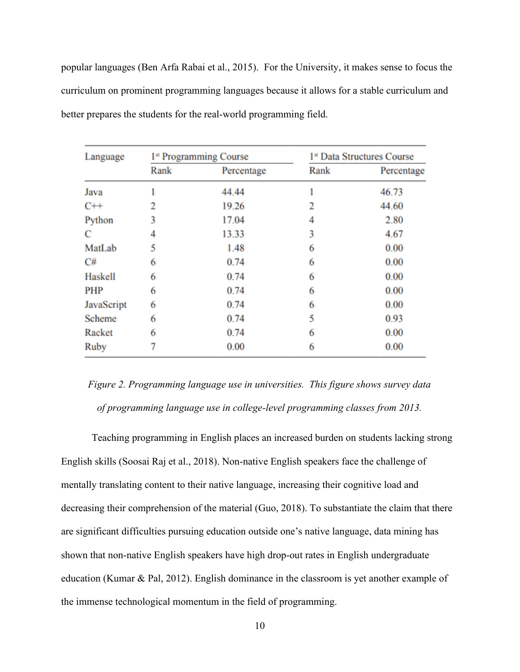popular languages (Ben Arfa Rabai et al., 2015). For the University, it makes sense to focus the curriculum on prominent programming languages because it allows for a stable curriculum and better prepares the students for the real-world programming field.

| Language       | 1 <sup>st</sup> Programming Course |            | 1st Data Structures Course |            |
|----------------|------------------------------------|------------|----------------------------|------------|
|                | Rank                               | Percentage | Rank                       | Percentage |
| Java           |                                    | 44.44      |                            | 46.73      |
| $C++$          | 2                                  | 19.26      | 2                          | 44.60      |
| Python         | 3                                  | 17.04      | 4                          | 2.80       |
| $\mathcal{C}$  | 4                                  | 13.33      | 3                          | 4.67       |
| MatLab         | 5                                  | 1.48       | 6                          | 0.00       |
| C#             | 6                                  | 0.74       | 6                          | 0.00       |
| <b>Haskell</b> | 6                                  | 0.74       | 6                          | 0.00       |
| <b>PHP</b>     | 6                                  | 0.74       | 6                          | 0.00       |
| JavaScript     | 6                                  | 0.74       | 6                          | 0.00       |
| <b>Scheme</b>  | 6                                  | 0.74       | 5                          | 0.93       |
| Racket         | 6                                  | 0.74       | 6                          | 0.00       |
| <b>Ruby</b>    |                                    | 0.00       | 6                          | 0.00       |

# Figure 2. Programming language use in universities. This figure shows survey data of programming language use in college-level programming classes from 2013.

Teaching programming in English places an increased burden on students lacking strong English skills (Soosai Raj et al., 2018). Non-native English speakers face the challenge of mentally translating content to their native language, increasing their cognitive load and decreasing their comprehension of the material (Guo, 2018). To substantiate the claim that there are significant difficulties pursuing education outside one's native language, data mining has shown that non-native English speakers have high drop-out rates in English undergraduate education (Kumar & Pal, 2012). English dominance in the classroom is yet another example of the immense technological momentum in the field of programming.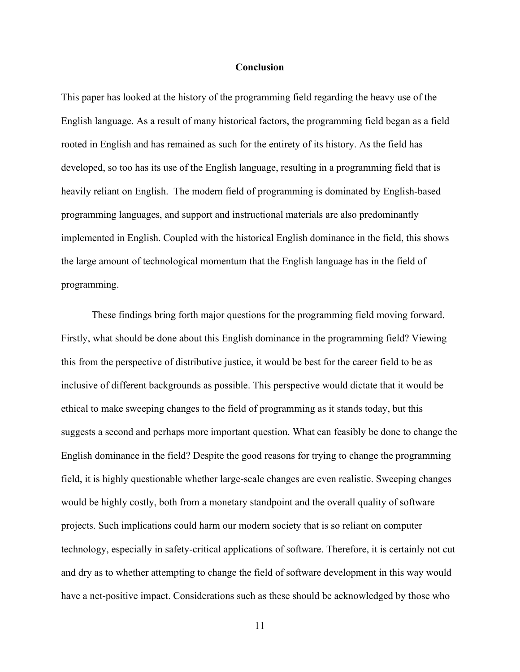### Conclusion

This paper has looked at the history of the programming field regarding the heavy use of the English language. As a result of many historical factors, the programming field began as a field rooted in English and has remained as such for the entirety of its history. As the field has developed, so too has its use of the English language, resulting in a programming field that is heavily reliant on English. The modern field of programming is dominated by English-based programming languages, and support and instructional materials are also predominantly implemented in English. Coupled with the historical English dominance in the field, this shows the large amount of technological momentum that the English language has in the field of programming.

These findings bring forth major questions for the programming field moving forward. Firstly, what should be done about this English dominance in the programming field? Viewing this from the perspective of distributive justice, it would be best for the career field to be as inclusive of different backgrounds as possible. This perspective would dictate that it would be ethical to make sweeping changes to the field of programming as it stands today, but this suggests a second and perhaps more important question. What can feasibly be done to change the English dominance in the field? Despite the good reasons for trying to change the programming field, it is highly questionable whether large-scale changes are even realistic. Sweeping changes would be highly costly, both from a monetary standpoint and the overall quality of software projects. Such implications could harm our modern society that is so reliant on computer technology, especially in safety-critical applications of software. Therefore, it is certainly not cut and dry as to whether attempting to change the field of software development in this way would have a net-positive impact. Considerations such as these should be acknowledged by those who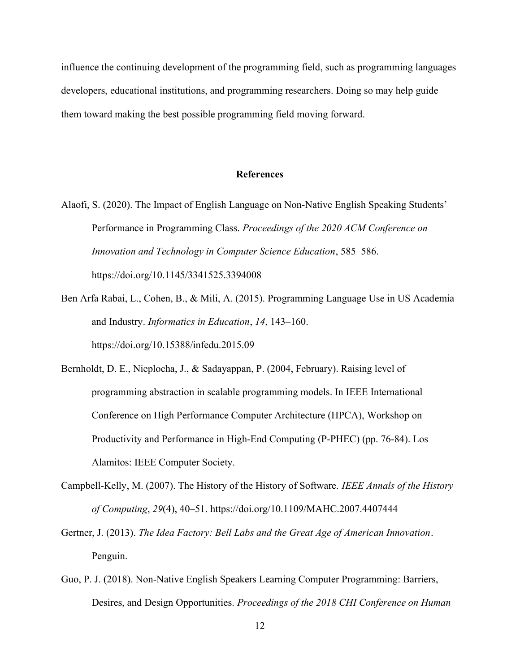influence the continuing development of the programming field, such as programming languages developers, educational institutions, and programming researchers. Doing so may help guide them toward making the best possible programming field moving forward.

### References

- Alaofi, S. (2020). The Impact of English Language on Non-Native English Speaking Students' Performance in Programming Class. Proceedings of the 2020 ACM Conference on Innovation and Technology in Computer Science Education, 585–586. https://doi.org/10.1145/3341525.3394008
- Ben Arfa Rabai, L., Cohen, B., & Mili, A. (2015). Programming Language Use in US Academia and Industry. Informatics in Education, 14, 143–160. https://doi.org/10.15388/infedu.2015.09
- Bernholdt, D. E., Nieplocha, J., & Sadayappan, P. (2004, February). Raising level of programming abstraction in scalable programming models. In IEEE International Conference on High Performance Computer Architecture (HPCA), Workshop on Productivity and Performance in High-End Computing (P-PHEC) (pp. 76-84). Los Alamitos: IEEE Computer Society.
- Campbell-Kelly, M. (2007). The History of the History of Software. IEEE Annals of the History of Computing, 29(4), 40–51. https://doi.org/10.1109/MAHC.2007.4407444
- Gertner, J. (2013). The Idea Factory: Bell Labs and the Great Age of American Innovation. Penguin.
- Guo, P. J. (2018). Non-Native English Speakers Learning Computer Programming: Barriers, Desires, and Design Opportunities. Proceedings of the 2018 CHI Conference on Human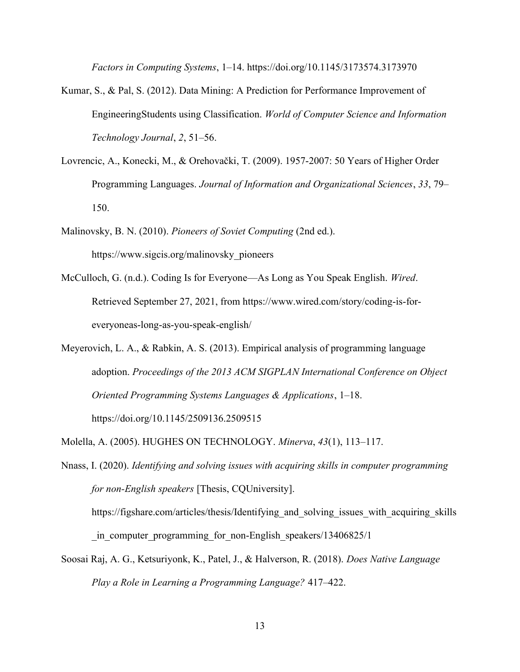Factors in Computing Systems, 1–14. https://doi.org/10.1145/3173574.3173970

- Kumar, S., & Pal, S. (2012). Data Mining: A Prediction for Performance Improvement of EngineeringStudents using Classification. World of Computer Science and Information Technology Journal, 2, 51–56.
- Lovrencic, A., Konecki, M., & Orehovački, T. (2009). 1957-2007: 50 Years of Higher Order Programming Languages. Journal of Information and Organizational Sciences, 33, 79– 150.
- Malinovsky, B. N. (2010). Pioneers of Soviet Computing (2nd ed.). https://www.sigcis.org/malinovsky\_pioneers
- McCulloch, G. (n.d.). Coding Is for Everyone—As Long as You Speak English. Wired. Retrieved September 27, 2021, from https://www.wired.com/story/coding-is-foreveryoneas-long-as-you-speak-english/
- Meyerovich, L. A., & Rabkin, A. S. (2013). Empirical analysis of programming language adoption. Proceedings of the 2013 ACM SIGPLAN International Conference on Object Oriented Programming Systems Languages & Applications, 1–18. https://doi.org/10.1145/2509136.2509515
- Molella, A. (2005). HUGHES ON TECHNOLOGY. Minerva, 43(1), 113–117.

Nnass, I. (2020). Identifying and solving issues with acquiring skills in computer programming for non-English speakers [Thesis, CQUniversity].

https://figshare.com/articles/thesis/Identifying and solving issues with acquiring skills in computer programming for non-English speakers/13406825/1

Soosai Raj, A. G., Ketsuriyonk, K., Patel, J., & Halverson, R. (2018). Does Native Language Play a Role in Learning a Programming Language? 417–422.